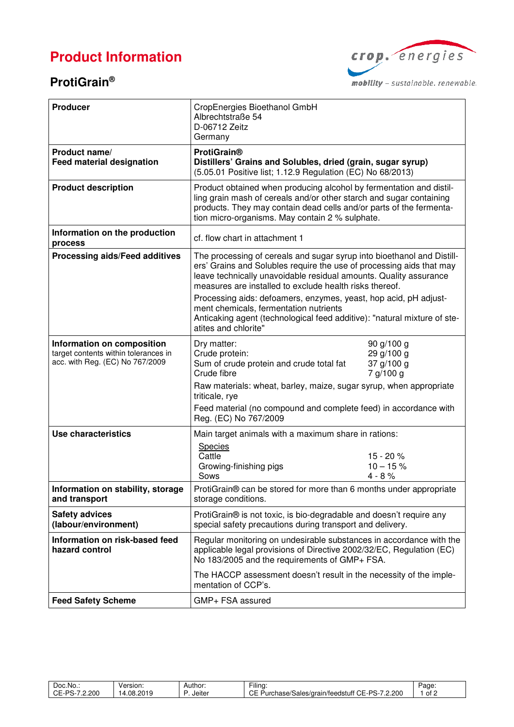# **Product Information**

### **ProtiGrain®**



mobility - sustainable. renewable.

| <b>Producer</b>                                                                                       | CropEnergies Bioethanol GmbH<br>Albrechtstraße 54<br>D-06712 Zeitz<br>Germany                                                                                                                                                                                                  |  |  |  |
|-------------------------------------------------------------------------------------------------------|--------------------------------------------------------------------------------------------------------------------------------------------------------------------------------------------------------------------------------------------------------------------------------|--|--|--|
| Product name/<br><b>Feed material designation</b>                                                     | <b>ProtiGrain®</b><br>Distillers' Grains and Solubles, dried (grain, sugar syrup)<br>(5.05.01 Positive list; 1.12.9 Regulation (EC) No 68/2013)                                                                                                                                |  |  |  |
| <b>Product description</b>                                                                            | Product obtained when producing alcohol by fermentation and distil-<br>ling grain mash of cereals and/or other starch and sugar containing<br>products. They may contain dead cells and/or parts of the fermenta-<br>tion micro-organisms. May contain 2 % sulphate.           |  |  |  |
| Information on the production<br>process                                                              | cf. flow chart in attachment 1                                                                                                                                                                                                                                                 |  |  |  |
| Processing aids/Feed additives                                                                        | The processing of cereals and sugar syrup into bioethanol and Distill-<br>ers' Grains and Solubles require the use of processing aids that may<br>leave technically unavoidable residual amounts. Quality assurance<br>measures are installed to exclude health risks thereof. |  |  |  |
|                                                                                                       | Processing aids: defoamers, enzymes, yeast, hop acid, pH adjust-<br>ment chemicals, fermentation nutrients<br>Anticaking agent (technological feed additive): "natural mixture of ste-<br>atites and chlorite"                                                                 |  |  |  |
| Information on composition<br>target contents within tolerances in<br>acc. with Reg. (EC) No 767/2009 | Dry matter:<br>90 g/100 g<br>29 g/100 g<br>Crude protein:<br>Sum of crude protein and crude total fat<br>37 g/100 g<br>Crude fibre<br>7 g/100 g                                                                                                                                |  |  |  |
|                                                                                                       | Raw materials: wheat, barley, maize, sugar syrup, when appropriate<br>triticale, rye                                                                                                                                                                                           |  |  |  |
|                                                                                                       | Feed material (no compound and complete feed) in accordance with<br>Reg. (EC) No 767/2009                                                                                                                                                                                      |  |  |  |
| Use characteristics                                                                                   | Main target animals with a maximum share in rations:                                                                                                                                                                                                                           |  |  |  |
|                                                                                                       | <b>Species</b><br>Cattle<br>15 - 20 %<br>$10 - 15%$<br>Growing-finishing pigs<br>Sows<br>$4 - 8%$                                                                                                                                                                              |  |  |  |
| Information on stability, storage<br>and transport                                                    | ProtiGrain® can be stored for more than 6 months under appropriate<br>storage conditions.                                                                                                                                                                                      |  |  |  |
| <b>Safety advices</b><br>(labour/environment)                                                         | ProtiGrain® is not toxic, is bio-degradable and doesn't require any<br>special safety precautions during transport and delivery.                                                                                                                                               |  |  |  |
| Information on risk-based feed<br>hazard control                                                      | Regular monitoring on undesirable substances in accordance with the<br>applicable legal provisions of Directive 2002/32/EC, Regulation (EC)<br>No 183/2005 and the requirements of GMP+ FSA.                                                                                   |  |  |  |
|                                                                                                       | The HACCP assessment doesn't result in the necessity of the imple-<br>mentation of CCP's.                                                                                                                                                                                      |  |  |  |
| <b>Feed Safety Scheme</b>                                                                             | GMP+ FSA assured                                                                                                                                                                                                                                                               |  |  |  |